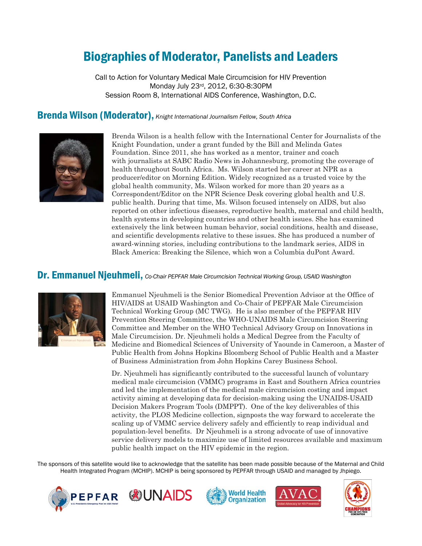# Biographies of Moderator, Panelists and Leaders

Call to Action for Voluntary Medical Male Circumcision for HIV Prevention Monday July 23rd, 2012, 6:30-8:30PM Session Room 8, International AIDS Conference, Washington, D.C.

# Brenda Wilson (Moderator), *Knight International Journalism Fellow, South Africa*



Brenda Wilson is a health fellow with the International Center for Journalists of the Knight Foundation, under a grant funded by the Bill and Melinda Gates Foundation. Since 2011, she has worked as a mentor, trainer and coach with journalists at SABC Radio News in Johannesburg, promoting the coverage of health throughout South Africa. Ms. Wilson started her career at NPR as a producer/editor on Morning Edition. Widely recognized as a trusted voice by the global health community, Ms. Wilson worked for more than 20 years as a Correspondent/Editor on the NPR Science Desk covering global health and U.S. public health. During that time, Ms. Wilson focused intensely on AIDS, but also reported on other infectious diseases, reproductive health, maternal and child health, health systems in developing countries and other health issues. She has examined extensively the link between human behavior, social conditions, health and disease, and scientific developments relative to these issues. She has produced a number of award-winning stories, including contributions to the landmark series, AIDS in Black America: Breaking the Silence, which won a Columbia duPont Award.

## Dr. Emmanuel Njeuhmeli, *Co-Chair PEPFAR Male Circumcision Technical Working Group, USAID Washington*



Emmanuel Njeuhmeli is the Senior Biomedical Prevention Advisor at the Office of HIV/AIDS at USAID Washington and Co-Chair of PEPFAR Male Circumcision Technical Working Group (MC TWG). He is also member of the PEPFAR HIV Prevention Steering Committee, the WHO-UNAIDS Male Circumcision Steering Committee and Member on the WHO Technical Advisory Group on Innovations in Male Circumcision. Dr. Njeuhmeli holds a Medical Degree from the Faculty of Medicine and Biomedical Sciences of University of Yaounde in Cameroon, a Master of Public Health from Johns Hopkins Bloomberg School of Public Health and a Master of Business Administration from John Hopkins Carey Business School.

Dr. Njeuhmeli has significantly contributed to the successful launch of voluntary medical male circumcision (VMMC) programs in East and Southern Africa countries and led the implementation of the medical male circumcision costing and impact activity aiming at developing data for decision-making using the UNAIDS-USAID Decision Makers Program Tools (DMPPT). One of the key deliverables of this activity, the PLOS Medicine collection, signposts the way forward to accelerate the scaling up of VMMC service delivery safely and efficiently to reap individual and population-level benefits. Dr Njeuhmeli is a strong advocate of use of innovative service delivery models to maximize use of limited resources available and maximum public health impact on the HIV epidemic in the region.

The sponsors of this satellite would like to acknowledge that the satellite has been made possible because of the Maternal and Child Health Integrated Program (MCHIP). MCHIP is being sponsored by PEPFAR through USAID and managed by Jhpiego.









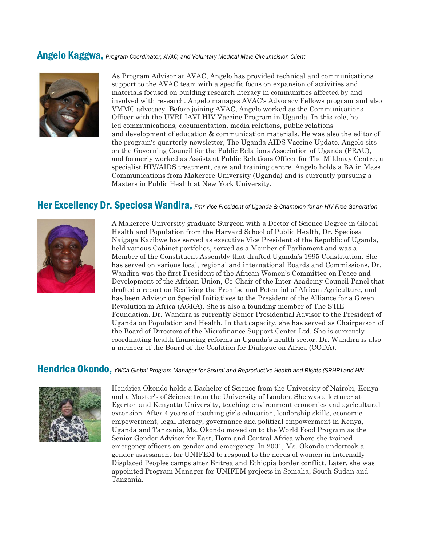### Angelo Kaggwa, *Program Coordinator, AVAC, and Voluntary Medical Male Circumcision Client*



As Program Advisor at AVAC, Angelo has provided technical and communications support to the AVAC team with a specific focus on expansion of activities and materials focused on building research literacy in communities affected by and involved with research. Angelo manages AVAC's Advocacy Fellows program and also VMMC advocacy. Before joining AVAC, Angelo worked as the Communications Officer with the UVRI-IAVI HIV Vaccine Program in Uganda. In this role, he led communications, documentation, media relations, public relations and development of education & communication materials. He was also the editor of the program's quarterly newsletter, The Uganda AIDS Vaccine Update. Angelo sits on the Governing Council for the Public Relations Association of Uganda (PRAU), and formerly worked as Assistant Public Relations Officer for The Mildmay Centre, a specialist HIV/AIDS treatment, care and training centre. Angelo holds a BA in Mass Communications from Makerere University (Uganda) and is currently pursuing a Masters in Public Health at New York University.

## Her Excellency Dr. Speciosa Wandira, *Fmr Vice President of Uganda & Champion for an HIV-Free Generation*



A Makerere University graduate Surgeon with a Doctor of Science Degree in Global Health and Population from the Harvard School of Public Health, Dr. Speciosa Naigaga Kazibwe has served as executive Vice President of the Republic of Uganda, held various Cabinet portfolios, served as a Member of Parliament and was a Member of the Constituent Assembly that drafted Uganda's 1995 Constitution. She has served on various local, regional and international Boards and Commissions. Dr. Wandira was the first President of the African Women's Committee on Peace and Development of the African Union, Co-Chair of the Inter-Academy Council Panel that drafted a report on Realizing the Promise and Potential of African Agriculture, and has been Advisor on Special Initiatives to the President of the Alliance for a Green Revolution in Africa (AGRA). She is also a founding member of The S'HE Foundation. Dr. Wandira is currently Senior Presidential Advisor to the President of Uganda on Population and Health. In that capacity, she has served as Chairperson of the Board of Directors of the Microfinance Support Center Ltd. She is currently coordinating health financing reforms in Uganda's health sector. Dr. Wandira is also a member of the Board of the Coalition for Dialogue on Africa (CODA).

### Hendrica Okondo, *YWCA Global Program Manager for Sexual and Reproductive Health and Rights (SRHR) and HIV*



Hendrica Okondo holds a Bachelor of Science from the University of Nairobi, Kenya and a Master's of Science from the University of London. She was a lecturer at Egerton and Kenyatta University, teaching environment economics and agricultural extension. After 4 years of teaching girls education, leadership skills, economic empowerment, legal literacy, governance and political empowerment in Kenya, Uganda and Tanzania, Ms. Okondo moved on to the World Food Program as the Senior Gender Adviser for East, Horn and Central Africa where she trained emergency officers on gender and emergency. In 2001, Ms. Okondo undertook a gender assessment for UNIFEM to respond to the needs of women in Internally Displaced Peoples camps after Eritrea and Ethiopia border conflict. Later, she was appointed Program Manager for UNIFEM projects in Somalia, South Sudan and Tanzania.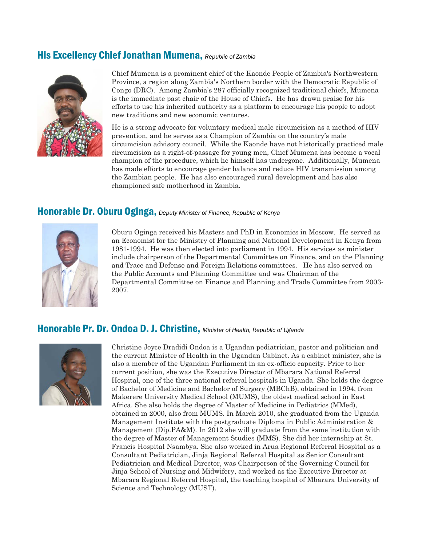# His Excellency Chief Jonathan Mumena, *Republic of Zambia*



Chief Mumena is a prominent chief of the Kaonde People of Zambia's Northwestern Province, a region along Zambia's Northern border with the Democratic Republic of Congo (DRC). Among Zambia's 287 officially recognized traditional chiefs, Mumena is the immediate past chair of the House of Chiefs. He has drawn praise for his efforts to use his inherited authority as a platform to encourage his people to adopt new traditions and new economic ventures.

He is a strong advocate for voluntary medical male circumcision as a method of HIV prevention, and he serves as a Champion of Zambia on the country's male circumcision advisory council. While the Kaonde have not historically practiced male circumcision as a right-of-passage for young men, Chief Mumena has become a vocal champion of the procedure, which he himself has undergone. Additionally, Mumena has made efforts to encourage gender balance and reduce HIV transmission among the Zambian people. He has also encouraged rural development and has also championed safe motherhood in Zambia.

# Honorable Dr. Oburu Oginga, *Deputy Minister of Finance, Republic of Kenya*



Oburu Oginga received his Masters and PhD in Economics in Moscow. He served as an Economist for the Ministry of Planning and National Development in Kenya from 1981-1994. He was then elected into parliament in 1994. His services as minister include chairperson of the Departmental Committee on Finance, and on the Planning and Trace and Defense and Foreign Relations committees. He has also served on the Public Accounts and Planning Committee and was Chairman of the Departmental Committee on Finance and Planning and Trade Committee from 2003- 2007.

# Honorable Pr. Dr. Ondoa D. J. Christine, *Minister of Health, Republic of Uganda*



Christine Joyce Dradidi Ondoa is a [Ugandan](http://en.wikipedia.org/wiki/Uganda) pediatrician, [pastor](http://en.wikipedia.org/wiki/Pastor) and [politician](http://en.wikipedia.org/wiki/Politician) and the current [Minister of Health](http://en.wikipedia.org/wiki/Minister_of_Health) in the Ugandan Cabinet. As a cabinet minister, she is also a member of the [Ugandan Parliament](http://en.wikipedia.org/wiki/Parliament_of_Uganda) in an ex-officio capacity. Prior to her current position, she was the [Executive Director](http://en.wikipedia.org/wiki/Executive_Director) of [Mbarara National Referral](http://en.wikipedia.org/wiki/Mbarara_National_Referral_Hospital)  [Hospital,](http://en.wikipedia.org/wiki/Mbarara_National_Referral_Hospital) one of the three national referral hospitals in Uganda. She holds the degree of Bachelor of Medicine and Bachelor of Surgery (MBChB), obtained in 1994, from Makerere University Medical School (MUMS), the oldest medical school in East Africa. She also holds the degree of Master of Medicine in Pediatrics (MMed), obtained in 2000, also from MUMS. In March 2010, she graduated from the Uganda Management Institute with the postgraduate Diploma in Public Administration & Management (Dip.PA&M). In 2012 she will graduate from the same institution with the degree of Master of Management Studies (MMS). She did her internship at St. Francis Hospital Nsambya. She also worked in Arua Regional Referral Hospital as a Consultant Pediatrician, Jinja Regional Referral Hospital as Senior Consultant Pediatrician and Medical Director, was Chairperson of the Governing Council for Jinja School of Nursing and Midwifery, and worked as the Executive Director at Mbarara Regional Referral Hospital, the teaching hospital of Mbarara University of Science and Technology (MUST).